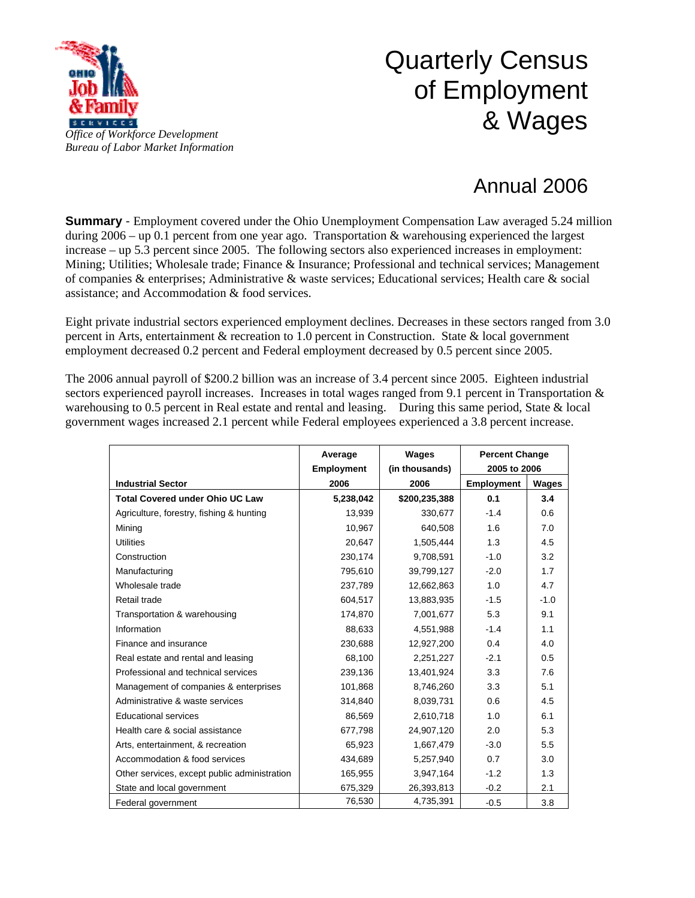

## Quarterly Census of Employment & Wages

## Annual 2006

**Summary** - Employment covered under the Ohio Unemployment Compensation Law averaged 5.24 million during 2006 – up 0.1 percent from one year ago. Transportation & warehousing experienced the largest increase – up 5.3 percent since 2005. The following sectors also experienced increases in employment: Mining; Utilities; Wholesale trade; Finance & Insurance; Professional and technical services; Management of companies & enterprises; Administrative & waste services; Educational services; Health care & social assistance; and Accommodation & food services.

Eight private industrial sectors experienced employment declines. Decreases in these sectors ranged from 3.0 percent in Arts, entertainment & recreation to 1.0 percent in Construction. State & local government employment decreased 0.2 percent and Federal employment decreased by 0.5 percent since 2005.

The 2006 annual payroll of \$200.2 billion was an increase of 3.4 percent since 2005. Eighteen industrial sectors experienced payroll increases. Increases in total wages ranged from 9.1 percent in Transportation  $\&$ warehousing to 0.5 percent in Real estate and rental and leasing. During this same period, State & local government wages increased 2.1 percent while Federal employees experienced a 3.8 percent increase.

|                                              | Average           | <b>Wages</b>   | <b>Percent Change</b> |        |
|----------------------------------------------|-------------------|----------------|-----------------------|--------|
|                                              | <b>Employment</b> | (in thousands) | 2005 to 2006          |        |
| <b>Industrial Sector</b>                     | 2006              | 2006           | <b>Employment</b>     | Wages  |
| <b>Total Covered under Ohio UC Law</b>       | 5,238,042         | \$200,235,388  | 0.1                   | 3.4    |
| Agriculture, forestry, fishing & hunting     | 13,939            | 330,677        | $-1.4$                | 0.6    |
| Mining                                       | 10,967            | 640,508        | 1.6                   | 7.0    |
| <b>Utilities</b>                             | 20,647            | 1,505,444      | 1.3                   | 4.5    |
| Construction                                 | 230,174           | 9,708,591      | $-1.0$                | 3.2    |
| Manufacturing                                | 795,610           | 39,799,127     | $-2.0$                | 1.7    |
| Wholesale trade                              | 237,789           | 12,662,863     | 1.0                   | 4.7    |
| Retail trade                                 | 604,517           | 13,883,935     | $-1.5$                | $-1.0$ |
| Transportation & warehousing                 | 174,870           | 7,001,677      | 5.3                   | 9.1    |
| Information                                  | 88,633            | 4,551,988      | $-1.4$                | 1.1    |
| Finance and insurance                        | 230,688           | 12,927,200     | 0.4                   | 4.0    |
| Real estate and rental and leasing           | 68,100            | 2,251,227      | $-2.1$                | 0.5    |
| Professional and technical services          | 239,136           | 13,401,924     | 3.3                   | 7.6    |
| Management of companies & enterprises        | 101,868           | 8,746,260      | 3.3                   | 5.1    |
| Administrative & waste services              | 314,840           | 8,039,731      | 0.6                   | 4.5    |
| <b>Educational services</b>                  | 86,569            | 2,610,718      | 1.0                   | 6.1    |
| Health care & social assistance              | 677,798           | 24,907,120     | 2.0                   | 5.3    |
| Arts, entertainment, & recreation            | 65,923            | 1,667,479      | $-3.0$                | 5.5    |
| Accommodation & food services                | 434,689           | 5,257,940      | 0.7                   | 3.0    |
| Other services, except public administration | 165,955           | 3,947,164      | $-1.2$                | 1.3    |
| State and local government                   | 675,329           | 26,393,813     | $-0.2$                | 2.1    |
| Federal government                           | 76,530            | 4,735,391      | $-0.5$                | 3.8    |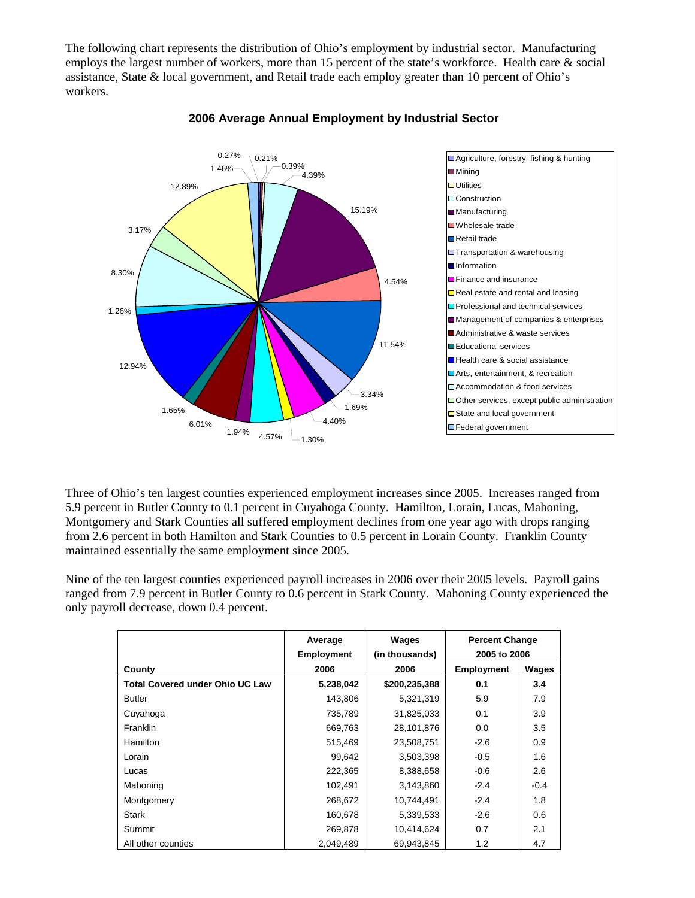The following chart represents the distribution of Ohio's employment by industrial sector. Manufacturing employs the largest number of workers, more than 15 percent of the state's workforce. Health care & social assistance, State & local government, and Retail trade each employ greater than 10 percent of Ohio's workers.



## **2006 Average Annual Employment by Industrial Sector**

Three of Ohio's ten largest counties experienced employment increases since 2005. Increases ranged from 5.9 percent in Butler County to 0.1 percent in Cuyahoga County. Hamilton, Lorain, Lucas, Mahoning, Montgomery and Stark Counties all suffered employment declines from one year ago with drops ranging from 2.6 percent in both Hamilton and Stark Counties to 0.5 percent in Lorain County. Franklin County maintained essentially the same employment since 2005.

Nine of the ten largest counties experienced payroll increases in 2006 over their 2005 levels. Payroll gains ranged from 7.9 percent in Butler County to 0.6 percent in Stark County. Mahoning County experienced the only payroll decrease, down 0.4 percent.

|                                        | Average<br><b>Employment</b> | Wages<br>(in thousands) | <b>Percent Change</b><br>2005 to 2006 |        |
|----------------------------------------|------------------------------|-------------------------|---------------------------------------|--------|
| County                                 | 2006                         | 2006                    | <b>Employment</b>                     | Wages  |
| <b>Total Covered under Ohio UC Law</b> | 5,238,042                    | \$200,235,388           | 0.1                                   | 3.4    |
| <b>Butler</b>                          | 143,806                      | 5,321,319               | 5.9                                   | 7.9    |
| Cuyahoga                               | 735,789                      | 31,825,033              | 0.1                                   | 3.9    |
| Franklin                               | 669,763                      | 28,101,876              | 0.0                                   | 3.5    |
| <b>Hamilton</b>                        | 515,469                      | 23,508,751              | $-2.6$                                | 0.9    |
| Lorain                                 | 99,642                       | 3,503,398               | $-0.5$                                | 1.6    |
| Lucas                                  | 222,365                      | 8,388,658               | $-0.6$                                | 2.6    |
| Mahoning                               | 102,491                      | 3,143,860               | $-2.4$                                | $-0.4$ |
| Montgomery                             | 268,672                      | 10,744,491              | $-2.4$                                | 1.8    |
| <b>Stark</b>                           | 160,678                      | 5,339,533               | $-2.6$                                | 0.6    |
| Summit                                 | 269,878                      | 10,414,624              | 0.7                                   | 2.1    |
| All other counties                     | 2,049,489                    | 69,943,845              | 1.2                                   | 4.7    |